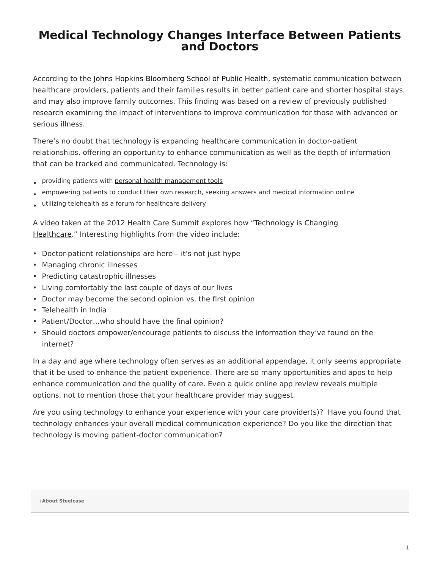## <span id="page-0-0"></span>**Medical Technology Changes Interface Between Patients and Doctors**

According to the [Johns Hopkins Bloomberg School of Public Health](http://www.jhsph.edu/news/news-releases/2012/dy-communication.html), systematic communication between healthcare providers, patients and their families results in better patient care and shorter hospital stays, and may also improve family outcomes. This finding was based on a review of previously published research examining the impact of interventions to improve communication for those with advanced or serious illness.

There's no doubt that technology is expanding healthcare communication in doctor-patient relationships, offering an opportunity to enhance communication as well as the depth of information that can be tracked and communicated. Technology is:

- providing patients with [personal health management tools](https://www.steelcase.com/posts/mobile-health-apps-help-patients-track-care/)
- empowering patients to conduct their own research, seeking answers and medical information online
- utilizing telehealth as a forum for healthcare delivery

A video taken at the 2012 Health Care Summit explores how ["Technology is Changing](http://www.youtube.com/watch?feature=player_embedded&v=_Tl6gGHom_E) [Healthcare.](http://www.youtube.com/watch?feature=player_embedded&v=_Tl6gGHom_E)" Interesting highlights from the video include:

- Doctor-patient relationships are here it's not just hype
- Managing chronic illnesses
- Predicting catastrophic illnesses
- Living comfortably the last couple of days of our lives
- Doctor may become the second opinion vs. the first opinion
- Telehealth in India
- Patient/Doctor…who should have the final opinion?
- Should doctors empower/encourage patients to discuss the information they've found on the internet?

In a day and age where technology often serves as an additional appendage, it only seems appropriate that it be used to enhance the patient experience. There are so many opportunities and apps to help enhance communication and the quality of care. Even a quick online app review reveals multiple options, not to mention those that your healthcare provider may suggest.

Are you using technology to enhance your experience with your care provider(s)? Have you found that technology enhances your overall medical communication experience? Do you like the direction that technology is moving patient-doctor communication?

## **[+About Steelcase](https://www.steelcase.com/discover/steelcase/our-company/)**